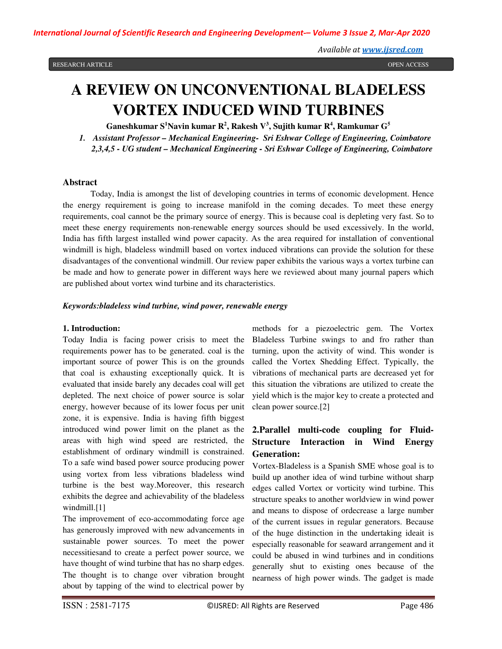# **A REVIEW ON UNCONVENTIONAL BLADELESS VORTEX INDUCED WIND TURBINES**

**Ganeshkumar S<sup>1</sup>Navin kumar R<sup>2</sup> , Rakesh V<sup>3</sup> , Sujith kumar R<sup>4</sup> , Ramkumar G<sup>5</sup>**

*1. Assistant Professor – Mechanical Engineering- Sri Eshwar College of Engineering, Coimbatore 2,3,4,5 - UG student – Mechanical Engineering - Sri Eshwar College of Engineering, Coimbatore*

#### **Abstract**

Today, India is amongst the list of developing countries in terms of economic development. Hence the energy requirement is going to increase manifold in the coming decades. To meet these energy requirements, coal cannot be the primary source of energy. This is because coal is depleting very fast. So to meet these energy requirements non-renewable energy sources should be used excessively. In the world, India has fifth largest installed wind power capacity. As the area required for installation of conventional windmill is high, bladeless windmill based on vortex induced vibrations can provide the solution for these disadvantages of the conventional windmill. Our review paper exhibits the various ways a vortex turbine can be made and how to generate power in different ways here we reviewed about many journal papers which are published about vortex wind turbine and its characteristics.

## *Keywords:bladeless wind turbine, wind power, renewable energy*

#### **1. Introduction:**

Today India is facing power crisis to meet the requirements power has to be generated. coal is the important source of power This is on the grounds that coal is exhausting exceptionally quick. It is evaluated that inside barely any decades coal will get depleted. The next choice of power source is solar energy, however because of its lower focus per unit zone, it is expensive. India is having fifth biggest introduced wind power limit on the planet as the areas with high wind speed are restricted, the establishment of ordinary windmill is constrained. To a safe wind based power source producing power using vortex from less vibrations bladeless wind turbine is the best way.Moreover, this research exhibits the degree and achievability of the bladeless windmill.<sup>[1]</sup>

The improvement of eco-accommodating force age has generously improved with new advancements in sustainable power sources. To meet the power necessitiesand to create a perfect power source, we have thought of wind turbine that has no sharp edges. The thought is to change over vibration brought about by tapping of the wind to electrical power by

methods for a piezoelectric gem. The Vortex Bladeless Turbine swings to and fro rather than turning, upon the activity of wind. This wonder is called the Vortex Shedding Effect. Typically, the vibrations of mechanical parts are decreased yet for this situation the vibrations are utilized to create the yield which is the major key to create a protected and clean power source.[2]

# **2.Parallel multi-code coupling for Fluid-Structure Interaction in Wind Energy Generation:**

Vortex-Bladeless is a Spanish SME whose goal is to build up another idea of wind turbine without sharp edges called Vortex or vorticity wind turbine. This structure speaks to another worldview in wind power and means to dispose of ordecrease a large number of the current issues in regular generators. Because of the huge distinction in the undertaking ideait is especially reasonable for seaward arrangement and it could be abused in wind turbines and in conditions generally shut to existing ones because of the nearness of high power winds. The gadget is made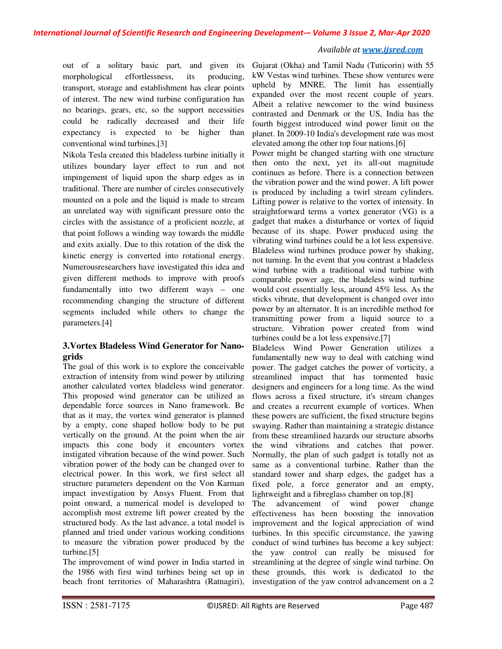*International Journal of Scientific Research and Engineering Development-– Volume 3 Issue 2, Mar-Apr 2020*

## *Available at www.ijsred.com*

out of a solitary basic part, and given its morphological effortlessness, its producing, transport, storage and establishment has clear points of interest. The new wind turbine configuration has no bearings, gears, etc, so the support necessities could be radically decreased and their life expectancy is expected to be higher than conventional wind turbines.[3]

Nikola Tesla created this bladeless turbine initially it utilizes boundary layer effect to run and not impingement of liquid upon the sharp edges as in traditional. There are number of circles consecutively mounted on a pole and the liquid is made to stream an unrelated way with significant pressure onto the circles with the assistance of a proficient nozzle, at that point follows a winding way towards the middle and exits axially. Due to this rotation of the disk the kinetic energy is converted into rotational energy. Numerousresearchers have investigated this idea and given different methods to improve with proofs fundamentally into two different ways – one recommending changing the structure of different segments included while others to change the parameters.[4]

# **3.Vortex Bladeless Wind Generator for Nanogrids**

The goal of this work is to explore the conceivable extraction of intensity from wind power by utilizing another calculated vortex bladeless wind generator. This proposed wind generator can be utilized as dependable force sources in Nano framework. Be that as it may, the vortex wind generator is planned by a empty, cone shaped hollow body to be put vertically on the ground. At the point when the air impacts this cone body it encounters vortex instigated vibration because of the wind power. Such vibration power of the body can be changed over to electrical power. In this work, we first select all structure parameters dependent on the Von Karman impact investigation by Ansys Fluent. From that point onward, a numerical model is developed to accomplish most extreme lift power created by the structured body. As the last advance, a total model is planned and tried under various working conditions to measure the vibration power produced by the turbine.[5]

The improvement of wind power in India started in the 1986 with first wind turbines being set up in beach front territories of Maharashtra (Ratnagiri),

Gujarat (Okha) and Tamil Nadu (Tuticorin) with 55 kW Vestas wind turbines. These show ventures were upheld by MNRE. The limit has essentially expanded over the most recent couple of years. Albeit a relative newcomer to the wind business contrasted and Denmark or the US, India has the fourth biggest introduced wind power limit on the planet. In 2009-10 India's development rate was most elevated among the other top four nations.[6]

Power might be changed starting with one structure then onto the next, yet its all-out magnitude continues as before. There is a connection between the vibration power and the wind power. A lift power is produced by including a twirl stream cylinders. Lifting power is relative to the vortex of intensity. In straightforward terms a vortex generator (VG) is a gadget that makes a disturbance or vortex of liquid because of its shape. Power produced using the vibrating wind turbines could be a lot less expensive. Bladeless wind turbines produce power by shaking, not turning. In the event that you contrast a bladeless wind turbine with a traditional wind turbine with comparable power age, the bladeless wind turbine would cost essentially less, around 45% less. As the sticks vibrate, that development is changed over into power by an alternator. It is an incredible method for transmitting power from a liquid source to a structure. Vibration power created from wind turbines could be a lot less expensive.[7]

Bladeless Wind Power Generation utilizes a fundamentally new way to deal with catching wind power. The gadget catches the power of vorticity, a streamlined impact that has tormented basic designers and engineers for a long time. As the wind flows across a fixed structure, it's stream changes and creates a recurrent example of vortices. When these powers are sufficient, the fixed structure begins swaying. Rather than maintaining a strategic distance from these streamlined hazards our structure absorbs the wind vibrations and catches that power. Normally, the plan of such gadget is totally not as same as a conventional turbine. Rather than the standard tower and sharp edges, the gadget has a fixed pole, a force generator and an empty, lightweight and a fibreglass chamber on top.[8]

The advancement of wind power change effectiveness has been boosting the innovation improvement and the logical appreciation of wind turbines. In this specific circumstance, the yawing conduct of wind turbines has become a key subject: the yaw control can really be misused for streamlining at the degree of single wind turbine. On these grounds, this work is dedicated to the investigation of the yaw control advancement on a 2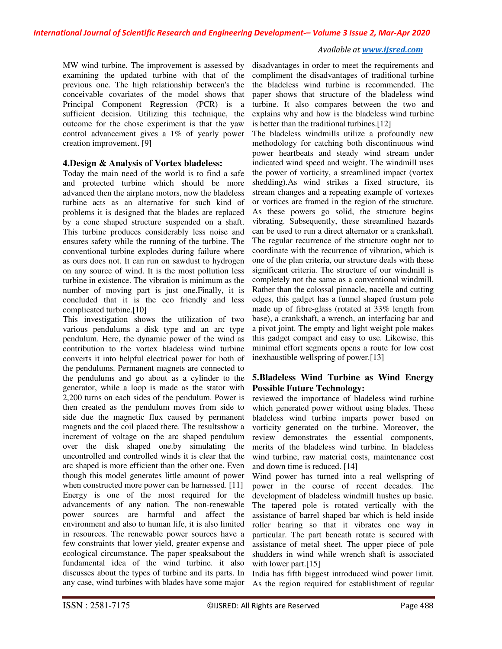## *International Journal of Scientific Research and Engineering Development-– Volume 3 Issue 2, Mar-Apr 2020*

#### *Available at www.ijsred.com*

MW wind turbine. The improvement is assessed by examining the updated turbine with that of the previous one. The high relationship between's the conceivable covariates of the model shows that Principal Component Regression (PCR) is a sufficient decision. Utilizing this technique, the outcome for the chose experiment is that the yaw control advancement gives a 1% of yearly power creation improvement. [9]

# **4.Design & Analysis of Vortex bladeless:**

Today the main need of the world is to find a safe and protected turbine which should be more advanced then the airplane motors, now the bladeless turbine acts as an alternative for such kind of problems it is designed that the blades are replaced by a cone shaped structure suspended on a shaft. This turbine produces considerably less noise and ensures safety while the running of the turbine. The conventional turbine explodes during failure where as ours does not. It can run on sawdust to hydrogen on any source of wind. It is the most pollution less turbine in existence. The vibration is minimum as the number of moving part is just one.Finally, it is concluded that it is the eco friendly and less complicated turbine.[10]

This investigation shows the utilization of two various pendulums a disk type and an arc type pendulum. Here, the dynamic power of the wind as contribution to the vortex bladeless wind turbine converts it into helpful electrical power for both of the pendulums. Permanent magnets are connected to the pendulums and go about as a cylinder to the generator, while a loop is made as the stator with 2,200 turns on each sides of the pendulum. Power is then created as the pendulum moves from side to side due the magnetic flux caused by permanent magnets and the coil placed there. The resultsshow a increment of voltage on the arc shaped pendulum over the disk shaped one.by simulating the uncontrolled and controlled winds it is clear that the arc shaped is more efficient than the other one. Even though this model generates little amount of power when constructed more power can be harnessed. [11] Energy is one of the most required for the advancements of any nation. The non-renewable power sources are harmful and affect the environment and also to human life, it is also limited in resources. The renewable power sources have a few constraints that lower yield, greater expense and ecological circumstance. The paper speaksabout the fundamental idea of the wind turbine. it also discusses about the types of turbine and its parts. In any case, wind turbines with blades have some major

disadvantages in order to meet the requirements and compliment the disadvantages of traditional turbine the bladeless wind turbine is recommended. The paper shows that structure of the bladeless wind turbine. It also compares between the two and explains why and how is the bladeless wind turbine is better than the traditional turbines.[12]

The bladeless windmills utilize a profoundly new methodology for catching both discontinuous wind power heartbeats and steady wind stream under indicated wind speed and weight. The windmill uses the power of vorticity, a streamlined impact (vortex shedding).As wind strikes a fixed structure, its stream changes and a repeating example of vortexes or vortices are framed in the region of the structure. As these powers go solid, the structure begins vibrating. Subsequently, these streamlined hazards can be used to run a direct alternator or a crankshaft. The regular recurrence of the structure ought not to coordinate with the recurrence of vibration, which is one of the plan criteria, our structure deals with these significant criteria. The structure of our windmill is completely not the same as a conventional windmill. Rather than the colossal pinnacle, nacelle and cutting edges, this gadget has a funnel shaped frustum pole made up of fibre-glass (rotated at 33% length from base), a crankshaft, a wrench, an interfacing bar and a pivot joint. The empty and light weight pole makes this gadget compact and easy to use. Likewise, this minimal effort segments opens a route for low cost inexhaustible wellspring of power.[13]

# **5.Bladeless Wind Turbine as Wind Energy Possible Future Technology:**

reviewed the importance of bladeless wind turbine which generated power without using blades. These bladeless wind turbine imparts power based on vorticity generated on the turbine. Moreover, the review demonstrates the essential components, merits of the bladeless wind turbine. In bladeless wind turbine, raw material costs, maintenance cost and down time is reduced. [14]

Wind power has turned into a real wellspring of power in the course of recent decades. The development of bladeless windmill hushes up basic. The tapered pole is rotated vertically with the assistance of barrel shaped bar which is held inside roller bearing so that it vibrates one way in particular. The part beneath rotate is secured with assistance of metal sheet. The upper piece of pole shudders in wind while wrench shaft is associated with lower part.<sup>[15]</sup>

India has fifth biggest introduced wind power limit. As the region required for establishment of regular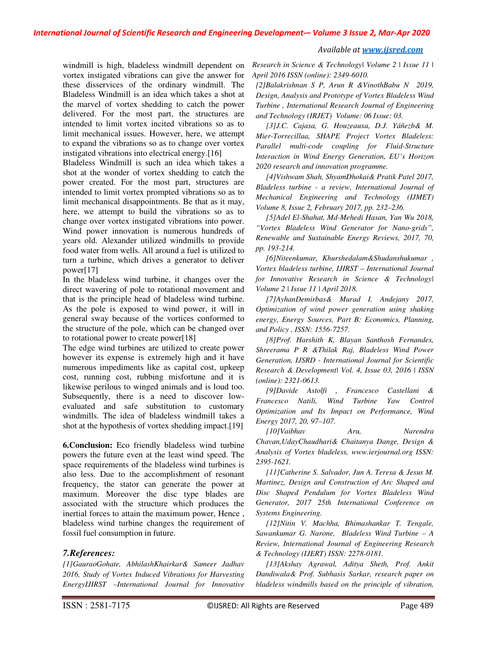*International Journal of Scientific Research and Engineering Development-– Volume 3 Issue 2, Mar-Apr 2020*

windmill is high, bladeless windmill dependent on vortex instigated vibrations can give the answer for these disservices of the ordinary windmill. The Bladeless Windmill is an idea which takes a shot at the marvel of vortex shedding to catch the power delivered. For the most part, the structures are intended to limit vortex incited vibrations so as to limit mechanical issues. However, here, we attempt to expand the vibrations so as to change over vortex instigated vibrations into electrical energy.[16]

Bladeless Windmill is such an idea which takes a shot at the wonder of vortex shedding to catch the power created. For the most part, structures are intended to limit vortex prompted vibrations so as to limit mechanical disappointments. Be that as it may, here, we attempt to build the vibrations so as to change over vortex instigated vibrations into power. Wind power innovation is numerous hundreds of years old. Alexander utilized windmills to provide food water from wells. All around a fuel is utilized to turn a turbine, which drives a generator to deliver power[17]

In the bladeless wind turbine, it changes over the direct wavering of pole to rotational movement and that is the principle head of bladeless wind turbine. As the pole is exposed to wind power, it will in general sway because of the vortices conformed to the structure of the pole, which can be changed over to rotational power to create power[18]

The edge wind turbines are utilized to create power however its expense is extremely high and it have numerous impediments like as capital cost, upkeep cost, running cost, rubbing misfortune and it is likewise perilous to winged animals and is loud too. Subsequently, there is a need to discover lowevaluated and safe substitution to customary windmills. The idea of bladeless windmill takes a shot at the hypothesis of vortex shedding impact.[19]

**6.Conclusion:** Eco friendly bladeless wind turbine powers the future even at the least wind speed. The space requirements of the bladeless wind turbines is also less. Due to the accomplishment of resonant frequency, the stator can generate the power at maximum. Moreover the disc type blades are associated with the structure which produces the inertial forces to attain the maximum power, Hence , bladeless wind turbine changes the requirement of fossil fuel consumption in future.

# *7.References:*

*[1]GauraoGohate, AbhilashKhairkar& Sameer Jadhav 2016, Study of Vortex Induced Vibrations for Harvesting EnergyIJIRST –International Journal for Innovative* 

*Research in Science & Technology| Volume 2 | Issue 11 | April 2016 ISSN (online): 2349-6010.* 

*[2]Balakrishnan S P, Arun R &VinothBabu N 2019, Design, Analysis and Prototype of Vortex Bladeless Wind Turbine , International Research Journal of Engineering and Technology (IRJET) Volume: 06 Issue: 03.* 

*[3]J.C. Cajasa, G. Houzeauxa, D.J. Yáñezb& M. Mier-Torrecillaa, SHAPE Project Vortex Bladeless: Parallel multi-code coupling for Fluid-Structure Interaction in Wind Energy Generation, EU's Horizon 2020 research and innovation programme.* 

*[4]Vishwam Shah, ShyamDhokai& Pratik Patel 2017, Bladeless turbine - a review, International Journal of Mechanical Engineering and Technology (IJMET) Volume 8, Issue 2, February 2017, pp. 232–236.* 

*[5]Adel El-Shahat, Md-Mehedi Hasan, Yan Wu 2018, "Vortex Bladeless Wind Generator for Nano-grids", Renewable and Sustainable Energy Reviews, 2017, 70, pp. 193-214.* 

*[6]Niteenkumar, Khurshedalam&Shudanshukumar , Vortex bladeless turbine, IJIRST – International Journal for Innovative Research in Science & Technology| Volume 2 | Issue 11 | April 2018.* 

*[7]AyhanDemirbas& Murad I. Andejany 2017, Optimization of wind power generation using shaking energy, Energy Sources, Part B: Economics, Planning, and Policy , ISSN: 1556-7257.* 

*[8]Prof. Harshith K, Blayan Santhosh Fernandes, Shreerama P R &Thilak Raj, Bladeless Wind Power Generation, IJSRD - International Journal for Scientific Research & Development| Vol. 4, Issue 03, 2016 | ISSN (online): 2321-0613.* 

*[9]Davide Astolfi , Francesco Castellani & Francesco Natili, Wind Turbine Yaw Control Optimization and Its Impact on Performance, Wind Energy 2017, 20, 97–107.* 

*[10]Vaibhav Aru, Narendra Chavan,UdayChaudhari& Chaitanya Dange, Design & Analysis of Vortex bladeless, www.ierjournal.org ISSN: 2395-1621.* 

*[11]Catherine S. Salvador, Jun A. Teresa & Jesus M. Martinez, Design and Construction of Arc Shaped and Disc Shaped Pendulum for Vortex Bladeless Wind Generator, 2017 25th International Conference on Systems Engineering.* 

*[12]Nitin V. Machha, Bhimashankar T. Tengale, Sawankumar G. Narone, Bladeless Wind Turbine – A Review, International Journal of Engineering Research & Technology (IJERT) ISSN: 2278-0181.* 

*[13]Akshay Agrawal, Aditya Sheth, Prof. Ankit Dandiwala& Prof. Subhasis Sarkar, research paper on bladeless windmills based on the principle of vibration,*